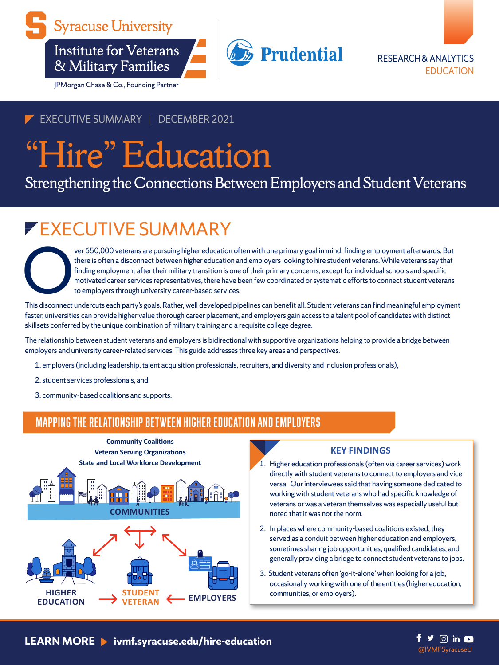

**Institute for Veterans** & Military Families

JPMorgan Chase & Co., Founding Partner





## EXECUTIVE SUMMARY | DECEMBER 2021

# "Hire" Education

Strengthening the Connections Between Employers and Student Veterans

## EXECUTIVE SUMMARY

ver 650,000 veterans are pursuing higher education often with one primary goal in mind: finding employment afterwards. But there is often a disconnect between higher education and employers looking to hire student veterans. While veterans say that finding employment after their military transition is one of their primary concerns, except for individual schools and specific motivated career services representatives, there have been few coordinated or systematic efforts to connect student veterans to employers through university career-based services.

This disconnect undercuts each party's goals. Rather, well developed pipelines can benefit all. Student veterans can find meaningful employment faster, universities can provide higher value thorough career placement, and employers gain access to a talent pool of candidates with distinct skillsets conferred by the unique combination of military training and a requisite college degree.

The relationship between student veterans and employers is bidirectional with supportive organizations helping to provide a bridge between employers and university career-related services. This guide addresses three key areas and perspectives.

- 1. employers (including leadership, talent acquisition professionals, recruiters, and diversity and inclusion professionals),
- 2.student services professionals, and
- 3. community-based coalitions and supports.

## Mapping the relationship between higher education and employers



#### **KEY FINDINGS**

- 1. Higher education professionals (often via career services) work directly with student veterans to connect to employers and vice versa. Our interviewees said that having someone dedicated to working with student veterans who had specific knowledge of veterans or was a veteran themselves was especially useful but noted that it was not the norm.
- 2. In places where community-based coalitions existed, they served as a conduit between higher education and employers, sometimes sharing job opportunities, qualified candidates, and generally providing a bridge to connect student veterans to jobs.
- 3. Student veterans often 'go-it-alone' when looking for a job, occasionally working with one of the entities (higher education, communities, or employers).